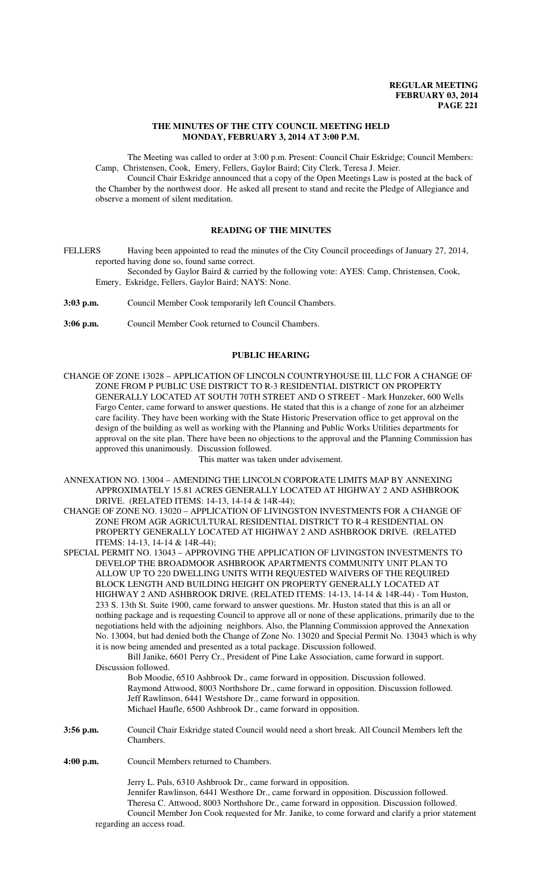## **THE MINUTES OF THE CITY COUNCIL MEETING HELD MONDAY, FEBRUARY 3, 2014 AT 3:00 P.M.**

The Meeting was called to order at 3:00 p.m. Present: Council Chair Eskridge; Council Members: Camp, Christensen, Cook, Emery, Fellers, Gaylor Baird; City Clerk, Teresa J. Meier.

Council Chair Eskridge announced that a copy of the Open Meetings Law is posted at the back of the Chamber by the northwest door. He asked all present to stand and recite the Pledge of Allegiance and observe a moment of silent meditation.

## **READING OF THE MINUTES**

FELLERS Having been appointed to read the minutes of the City Council proceedings of January 27, 2014, reported having done so, found same correct.

Seconded by Gaylor Baird & carried by the following vote: AYES: Camp, Christensen, Cook, Emery, Eskridge, Fellers, Gaylor Baird; NAYS: None.

**3:03 p.m.** Council Member Cook temporarily left Council Chambers.

**3:06 p.m.** Council Member Cook returned to Council Chambers.

## **PUBLIC HEARING**

CHANGE OF ZONE 13028 – APPLICATION OF LINCOLN COUNTRYHOUSE III, LLC FOR A CHANGE OF ZONE FROM P PUBLIC USE DISTRICT TO R-3 RESIDENTIAL DISTRICT ON PROPERTY GENERALLY LOCATED AT SOUTH 70TH STREET AND O STREET - Mark Hunzeker, 600 Wells Fargo Center, came forward to answer questions. He stated that this is a change of zone for an alzheimer care facility. They have been working with the State Historic Preservation office to get approval on the design of the building as well as working with the Planning and Public Works Utilities departments for approval on the site plan. There have been no objections to the approval and the Planning Commission has approved this unanimously. Discussion followed.

This matter was taken under advisement.

- ANNEXATION NO. 13004 AMENDING THE LINCOLN CORPORATE LIMITS MAP BY ANNEXING APPROXIMATELY 15.81 ACRES GENERALLY LOCATED AT HIGHWAY 2 AND ASHBROOK DRIVE. (RELATED ITEMS: 14-13, 14-14 & 14R-44);
- CHANGE OF ZONE NO. 13020 APPLICATION OF LIVINGSTON INVESTMENTS FOR A CHANGE OF ZONE FROM AGR AGRICULTURAL RESIDENTIAL DISTRICT TO R-4 RESIDENTIAL ON PROPERTY GENERALLY LOCATED AT HIGHWAY 2 AND ASHBROOK DRIVE. (RELATED ITEMS: 14-13, 14-14 & 14R-44);

SPECIAL PERMIT NO. 13043 – APPROVING THE APPLICATION OF LIVINGSTON INVESTMENTS TO DEVELOP THE BROADMOOR ASHBROOK APARTMENTS COMMUNITY UNIT PLAN TO ALLOW UP TO 220 DWELLING UNITS WITH REQUESTED WAIVERS OF THE REQUIRED BLOCK LENGTH AND BUILDING HEIGHT ON PROPERTY GENERALLY LOCATED AT HIGHWAY 2 AND ASHBROOK DRIVE. (RELATED ITEMS: 14-13, 14-14 & 14R-44) - Tom Huston, 233 S. 13th St. Suite 1900, came forward to answer questions. Mr. Huston stated that this is an all or nothing package and is requesting Council to approve all or none of these applications, primarily due to the negotiations held with the adjoining neighbors. Also, the Planning Commission approved the Annexation No. 13004, but had denied both the Change of Zone No. 13020 and Special Permit No. 13043 which is why it is now being amended and presented as a total package. Discussion followed.

Bill Janike, 6601 Perry Cr., President of Pine Lake Association, came forward in support. Discussion followed.

Bob Moodie, 6510 Ashbrook Dr., came forward in opposition. Discussion followed. Raymond Attwood, 8003 Northshore Dr., came forward in opposition. Discussion followed. Jeff Rawlinson, 6441 Westshore Dr., came forward in opposition. Michael Haufle, 6500 Ashbrook Dr., came forward in opposition.

**3:56 p.m.** Council Chair Eskridge stated Council would need a short break. All Council Members left the Chambers.

**4:00 p.m.** Council Members returned to Chambers.

Jerry L. Puls, 6310 Ashbrook Dr., came forward in opposition. Jennifer Rawlinson, 6441 Westhore Dr., came forward in opposition. Discussion followed. Theresa C. Attwood, 8003 Northshore Dr., came forward in opposition. Discussion followed. Council Member Jon Cook requested for Mr. Janike, to come forward and clarify a prior statement regarding an access road.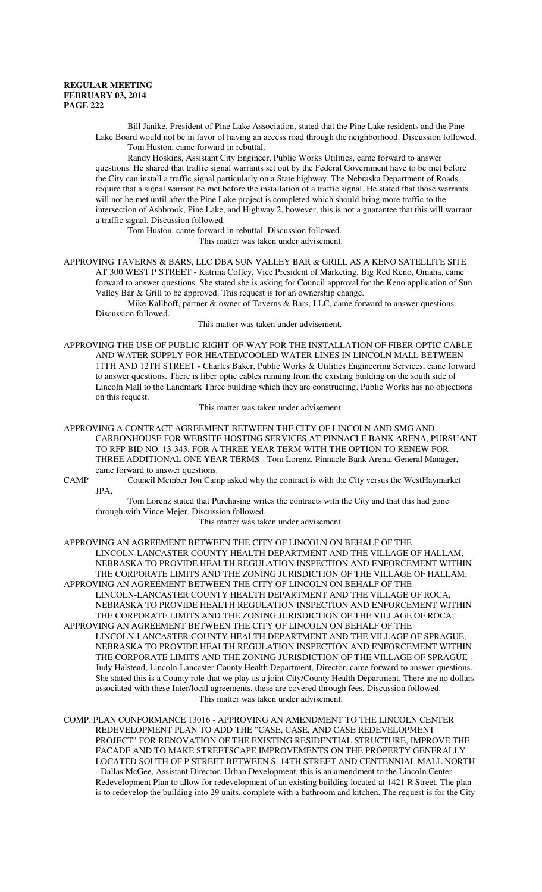Bill Janike, President of Pine Lake Association, stated that the Pine Lake residents and the Pine Lake Board would not be in favor of having an access road through the neighborhood. Discussion followed. Tom Huston, came forward in rebuttal.

Randy Hoskins, Assistant City Engineer, Public Works Utilities, came forward to answer questions. He shared that traffic signal warrants set out by the Federal Government have to be met before the City can install a traffic signal particularly on a State highway. The Nebraska Department of Roads require that a signal warrant be met before the installation of a traffic signal. He stated that those warrants will not be met until after the Pine Lake project is completed which should bring more traffic to the intersection of Ashbrook, Pine Lake, and Highway 2, however, this is not a guarantee that this will warrant a traffic signal. Discussion followed.

Tom Huston, came forward in rebuttal. Discussion followed.

This matter was taken under advisement.

APPROVING TAVERNS & BARS, LLC DBA SUN VALLEY BAR & GRILL AS A KENO SATELLITE SITE AT 300 WEST P STREET - Katrina Coffey, Vice President of Marketing, Big Red Keno, Omaha, came forward to answer questions. She stated she is asking for Council approval for the Keno application of Sun Valley Bar & Grill to be approved. This request is for an ownership change.

Mike Kallhoff, partner & owner of Taverns & Bars, LLC, came forward to answer questions. Discussion followed.

This matter was taken under advisement.

APPROVING THE USE OF PUBLIC RIGHT-OF-WAY FOR THE INSTALLATION OF FIBER OPTIC CABLE AND WATER SUPPLY FOR HEATED/COOLED WATER LINES IN LINCOLN MALL BETWEEN 11TH AND 12TH STREET - Charles Baker, Public Works & Utilities Engineering Services, came forward to answer questions. There is fiber optic cables running from the existing building on the south side of Lincoln Mall to the Landmark Three building which they are constructing. Public Works has no objections on this request.

This matter was taken under advisement.

APPROVING A CONTRACT AGREEMENT BETWEEN THE CITY OF LINCOLN AND SMG AND CARBONHOUSE FOR WEBSITE HOSTING SERVICES AT PINNACLE BANK ARENA, PURSUANT TO RFP BID NO. 13-343, FOR A THREE YEAR TERM WITH THE OPTION TO RENEW FOR THREE ADDITIONAL ONE YEAR TERMS - Tom Lorenz, Pinnacle Bank Arena, General Manager, came forward to answer questions.

CAMP Council Member Jon Camp asked why the contract is with the City versus the WestHaymarket JPA.

Tom Lorenz stated that Purchasing writes the contracts with the City and that this had gone through with Vince Mejer. Discussion followed.

This matter was taken under advisement.

APPROVING AN AGREEMENT BETWEEN THE CITY OF LINCOLN ON BEHALF OF THE LINCOLN-LANCASTER COUNTY HEALTH DEPARTMENT AND THE VILLAGE OF HALLAM, NEBRASKA TO PROVIDE HEALTH REGULATION INSPECTION AND ENFORCEMENT WITHIN THE CORPORATE LIMITS AND THE ZONING JURISDICTION OF THE VILLAGE OF HALLAM; APPROVING AN AGREEMENT BETWEEN THE CITY OF LINCOLN ON BEHALF OF THE LINCOLN-LANCASTER COUNTY HEALTH DEPARTMENT AND THE VILLAGE OF ROCA, NEBRASKA TO PROVIDE HEALTH REGULATION INSPECTION AND ENFORCEMENT WITHIN THE CORPORATE LIMITS AND THE ZONING JURISDICTION OF THE VILLAGE OF ROCA; APPROVING AN AGREEMENT BETWEEN THE CITY OF LINCOLN ON BEHALF OF THE LINCOLN-LANCASTER COUNTY HEALTH DEPARTMENT AND THE VILLAGE OF SPRAGUE, NEBRASKA TO PROVIDE HEALTH REGULATION INSPECTION AND ENFORCEMENT WITHIN THE CORPORATE LIMITS AND THE ZONING JURISDICTION OF THE VILLAGE OF SPRAGUE - Judy Halstead, Lincoln-Lancaster County Health Department, Director, came forward to answer questions. She stated this is a County role that we play as a joint City/County Health Department. There are no dollars associated with these Inter/local agreements, these are covered through fees. Discussion followed. This matter was taken under advisement.

COMP. PLAN CONFORMANCE 13016 - APPROVING AN AMENDMENT TO THE LINCOLN CENTER REDEVELOPMENT PLAN TO ADD THE "CASE, CASE, AND CASE REDEVELOPMENT PROJECT" FOR RENOVATION OF THE EXISTING RESIDENTIAL STRUCTURE, IMPROVE THE FACADE AND TO MAKE STREETSCAPE IMPROVEMENTS ON THE PROPERTY GENERALLY LOCATED SOUTH OF P STREET BETWEEN S. 14TH STREET AND CENTENNIAL MALL NORTH - Dallas McGee, Assistant Director, Urban Development, this is an amendment to the Lincoln Center Redevelopment Plan to allow for redevelopment of an existing building located at 1421 R Street. The plan is to redevelop the building into 29 units, complete with a bathroom and kitchen. The request is for the City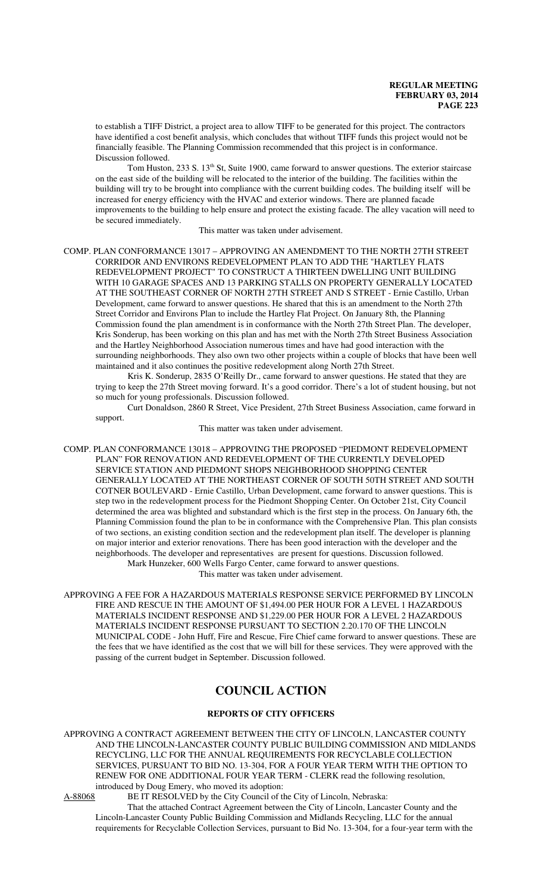to establish a TIFF District, a project area to allow TIFF to be generated for this project. The contractors have identified a cost benefit analysis, which concludes that without TIFF funds this project would not be financially feasible. The Planning Commission recommended that this project is in conformance. Discussion followed.

Tom Huston, 233 S. 13<sup>th</sup> St, Suite 1900, came forward to answer questions. The exterior staircase on the east side of the building will be relocated to the interior of the building. The facilities within the building will try to be brought into compliance with the current building codes. The building itself will be increased for energy efficiency with the HVAC and exterior windows. There are planned facade improvements to the building to help ensure and protect the existing facade. The alley vacation will need to be secured immediately.

This matter was taken under advisement.

COMP. PLAN CONFORMANCE 13017 – APPROVING AN AMENDMENT TO THE NORTH 27TH STREET CORRIDOR AND ENVIRONS REDEVELOPMENT PLAN TO ADD THE "HARTLEY FLATS REDEVELOPMENT PROJECT" TO CONSTRUCT A THIRTEEN DWELLING UNIT BUILDING WITH 10 GARAGE SPACES AND 13 PARKING STALLS ON PROPERTY GENERALLY LOCATED AT THE SOUTHEAST CORNER OF NORTH 27TH STREET AND S STREET - Ernie Castillo, Urban Development, came forward to answer questions. He shared that this is an amendment to the North 27th Street Corridor and Environs Plan to include the Hartley Flat Project. On January 8th, the Planning Commission found the plan amendment is in conformance with the North 27th Street Plan. The developer, Kris Sonderup, has been working on this plan and has met with the North 27th Street Business Association and the Hartley Neighborhood Association numerous times and have had good interaction with the surrounding neighborhoods. They also own two other projects within a couple of blocks that have been well maintained and it also continues the positive redevelopment along North 27th Street.

Kris K. Sonderup, 2835 O'Reilly Dr., came forward to answer questions. He stated that they are trying to keep the 27th Street moving forward. It's a good corridor. There's a lot of student housing, but not so much for young professionals. Discussion followed.

Curt Donaldson, 2860 R Street, Vice President, 27th Street Business Association, came forward in support.

This matter was taken under advisement.

COMP. PLAN CONFORMANCE 13018 – APPROVING THE PROPOSED "PIEDMONT REDEVELOPMENT PLAN" FOR RENOVATION AND REDEVELOPMENT OF THE CURRENTLY DEVELOPED SERVICE STATION AND PIEDMONT SHOPS NEIGHBORHOOD SHOPPING CENTER GENERALLY LOCATED AT THE NORTHEAST CORNER OF SOUTH 50TH STREET AND SOUTH COTNER BOULEVARD - Ernie Castillo, Urban Development, came forward to answer questions. This is step two in the redevelopment process for the Piedmont Shopping Center. On October 21st, City Council determined the area was blighted and substandard which is the first step in the process. On January 6th, the Planning Commission found the plan to be in conformance with the Comprehensive Plan. This plan consists of two sections, an existing condition section and the redevelopment plan itself. The developer is planning on major interior and exterior renovations. There has been good interaction with the developer and the neighborhoods. The developer and representatives are present for questions. Discussion followed. Mark Hunzeker, 600 Wells Fargo Center, came forward to answer questions.

This matter was taken under advisement.

APPROVING A FEE FOR A HAZARDOUS MATERIALS RESPONSE SERVICE PERFORMED BY LINCOLN FIRE AND RESCUE IN THE AMOUNT OF \$1,494.00 PER HOUR FOR A LEVEL 1 HAZARDOUS MATERIALS INCIDENT RESPONSE AND \$1,229.00 PER HOUR FOR A LEVEL 2 HAZARDOUS MATERIALS INCIDENT RESPONSE PURSUANT TO SECTION 2.20.170 OF THE LINCOLN MUNICIPAL CODE - John Huff, Fire and Rescue, Fire Chief came forward to answer questions. These are the fees that we have identified as the cost that we will bill for these services. They were approved with the passing of the current budget in September. Discussion followed.

# **COUNCIL ACTION**

## **REPORTS OF CITY OFFICERS**

APPROVING A CONTRACT AGREEMENT BETWEEN THE CITY OF LINCOLN, LANCASTER COUNTY AND THE LINCOLN-LANCASTER COUNTY PUBLIC BUILDING COMMISSION AND MIDLANDS RECYCLING, LLC FOR THE ANNUAL REQUIREMENTS FOR RECYCLABLE COLLECTION SERVICES, PURSUANT TO BID NO. 13-304, FOR A FOUR YEAR TERM WITH THE OPTION TO RENEW FOR ONE ADDITIONAL FOUR YEAR TERM - CLERK read the following resolution, introduced by Doug Emery, who moved its adoption:

A-88068 BE IT RESOLVED by the City Council of the City of Lincoln, Nebraska:

That the attached Contract Agreement between the City of Lincoln, Lancaster County and the Lincoln-Lancaster County Public Building Commission and Midlands Recycling, LLC for the annual requirements for Recyclable Collection Services, pursuant to Bid No. 13-304, for a four-year term with the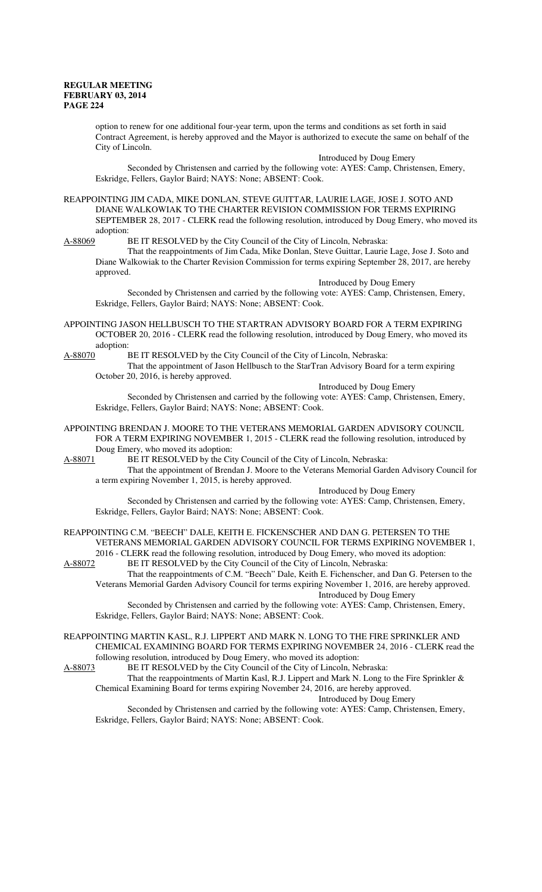option to renew for one additional four-year term, upon the terms and conditions as set forth in said Contract Agreement, is hereby approved and the Mayor is authorized to execute the same on behalf of the City of Lincoln.

Introduced by Doug Emery Seconded by Christensen and carried by the following vote: AYES: Camp, Christensen, Emery, Eskridge, Fellers, Gaylor Baird; NAYS: None; ABSENT: Cook.

REAPPOINTING JIM CADA, MIKE DONLAN, STEVE GUITTAR, LAURIE LAGE, JOSE J. SOTO AND DIANE WALKOWIAK TO THE CHARTER REVISION COMMISSION FOR TERMS EXPIRING SEPTEMBER 28, 2017 - CLERK read the following resolution, introduced by Doug Emery, who moved its adoption:

A-88069 BE IT RESOLVED by the City Council of the City of Lincoln, Nebraska:

That the reappointments of Jim Cada, Mike Donlan, Steve Guittar, Laurie Lage, Jose J. Soto and Diane Walkowiak to the Charter Revision Commission for terms expiring September 28, 2017, are hereby approved.

Introduced by Doug Emery Seconded by Christensen and carried by the following vote: AYES: Camp, Christensen, Emery, Eskridge, Fellers, Gaylor Baird; NAYS: None; ABSENT: Cook.

APPOINTING JASON HELLBUSCH TO THE STARTRAN ADVISORY BOARD FOR A TERM EXPIRING OCTOBER 20, 2016 - CLERK read the following resolution, introduced by Doug Emery, who moved its adoption:

A-88070 BE IT RESOLVED by the City Council of the City of Lincoln, Nebraska:

That the appointment of Jason Hellbusch to the StarTran Advisory Board for a term expiring October 20, 2016, is hereby approved.

Introduced by Doug Emery

Seconded by Christensen and carried by the following vote: AYES: Camp, Christensen, Emery, Eskridge, Fellers, Gaylor Baird; NAYS: None; ABSENT: Cook.

APPOINTING BRENDAN J. MOORE TO THE VETERANS MEMORIAL GARDEN ADVISORY COUNCIL FOR A TERM EXPIRING NOVEMBER 1, 2015 - CLERK read the following resolution, introduced by Doug Emery, who moved its adoption:

A-88071 BE IT RESOLVED by the City Council of the City of Lincoln, Nebraska:

That the appointment of Brendan J. Moore to the Veterans Memorial Garden Advisory Council for a term expiring November 1, 2015, is hereby approved.

Introduced by Doug Emery

Seconded by Christensen and carried by the following vote: AYES: Camp, Christensen, Emery, Eskridge, Fellers, Gaylor Baird; NAYS: None; ABSENT: Cook.

REAPPOINTING C.M. "BEECH" DALE, KEITH E. FICKENSCHER AND DAN G. PETERSEN TO THE VETERANS MEMORIAL GARDEN ADVISORY COUNCIL FOR TERMS EXPIRING NOVEMBER 1, 2016 - CLERK read the following resolution, introduced by Doug Emery, who moved its adoption:

A-88072 BE IT RESOLVED by the City Council of the City of Lincoln, Nebraska: That the reappointments of C.M. "Beech" Dale, Keith E. Fichenscher, and Dan G. Petersen to the Veterans Memorial Garden Advisory Council for terms expiring November 1, 2016, are hereby approved.

Introduced by Doug Emery

Seconded by Christensen and carried by the following vote: AYES: Camp, Christensen, Emery, Eskridge, Fellers, Gaylor Baird; NAYS: None; ABSENT: Cook.

REAPPOINTING MARTIN KASL, R.J. LIPPERT AND MARK N. LONG TO THE FIRE SPRINKLER AND CHEMICAL EXAMINING BOARD FOR TERMS EXPIRING NOVEMBER 24, 2016 - CLERK read the following resolution, introduced by Doug Emery, who moved its adoption:

A-88073 BE IT RESOLVED by the City Council of the City of Lincoln, Nebraska:

That the reappointments of Martin Kasl, R.J. Lippert and Mark N. Long to the Fire Sprinkler & Chemical Examining Board for terms expiring November 24, 2016, are hereby approved.

Introduced by Doug Emery

Seconded by Christensen and carried by the following vote: AYES: Camp, Christensen, Emery, Eskridge, Fellers, Gaylor Baird; NAYS: None; ABSENT: Cook.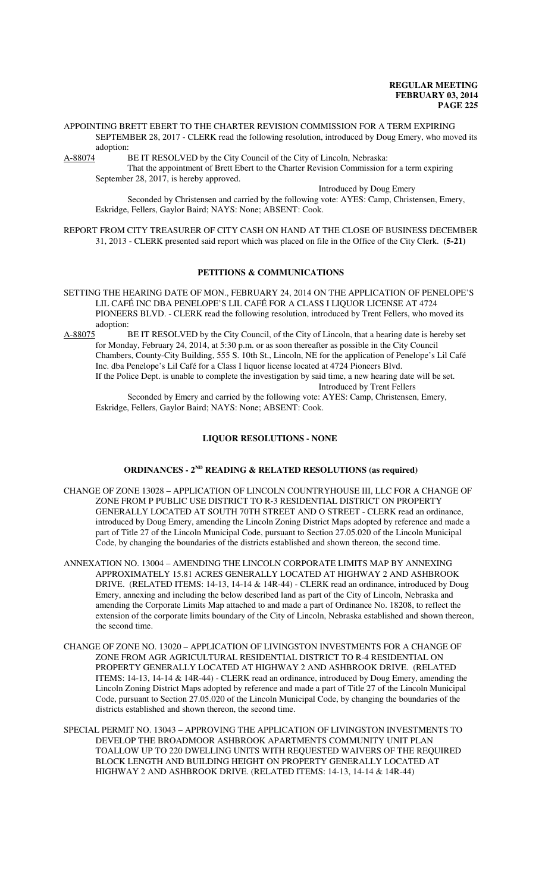APPOINTING BRETT EBERT TO THE CHARTER REVISION COMMISSION FOR A TERM EXPIRING SEPTEMBER 28, 2017 - CLERK read the following resolution, introduced by Doug Emery, who moved its adoption:<br>A-88074 H

BE IT RESOLVED by the City Council of the City of Lincoln, Nebraska:

That the appointment of Brett Ebert to the Charter Revision Commission for a term expiring September 28, 2017, is hereby approved.

Introduced by Doug Emery

Seconded by Christensen and carried by the following vote: AYES: Camp, Christensen, Emery, Eskridge, Fellers, Gaylor Baird; NAYS: None; ABSENT: Cook.

REPORT FROM CITY TREASURER OF CITY CASH ON HAND AT THE CLOSE OF BUSINESS DECEMBER 31, 2013 - CLERK presented said report which was placed on file in the Office of the City Clerk. **(5-21)**

# **PETITIONS & COMMUNICATIONS**

- SETTING THE HEARING DATE OF MON., FEBRUARY 24, 2014 ON THE APPLICATION OF PENELOPE'S LIL CAFÉ INC DBA PENELOPE'S LIL CAFÉ FOR A CLASS I LIQUOR LICENSE AT 4724 PIONEERS BLVD. - CLERK read the following resolution, introduced by Trent Fellers, who moved its adoption:
- A-88075 BE IT RESOLVED by the City Council, of the City of Lincoln, that a hearing date is hereby set for Monday, February 24, 2014, at 5:30 p.m. or as soon thereafter as possible in the City Council Chambers, County-City Building, 555 S. 10th St., Lincoln, NE for the application of Penelope's Lil Café Inc. dba Penelope's Lil Café for a Class I liquor license located at 4724 Pioneers Blvd. If the Police Dept. is unable to complete the investigation by said time, a new hearing date will be set. Introduced by Trent Fellers

Seconded by Emery and carried by the following vote: AYES: Camp, Christensen, Emery, Eskridge, Fellers, Gaylor Baird; NAYS: None; ABSENT: Cook.

#### **LIQUOR RESOLUTIONS - NONE**

#### **ORDINANCES - 2ND READING & RELATED RESOLUTIONS (as required)**

- CHANGE OF ZONE 13028 APPLICATION OF LINCOLN COUNTRYHOUSE III, LLC FOR A CHANGE OF ZONE FROM P PUBLIC USE DISTRICT TO R-3 RESIDENTIAL DISTRICT ON PROPERTY GENERALLY LOCATED AT SOUTH 70TH STREET AND O STREET - CLERK read an ordinance, introduced by Doug Emery, amending the Lincoln Zoning District Maps adopted by reference and made a part of Title 27 of the Lincoln Municipal Code, pursuant to Section 27.05.020 of the Lincoln Municipal Code, by changing the boundaries of the districts established and shown thereon, the second time.
- ANNEXATION NO. 13004 AMENDING THE LINCOLN CORPORATE LIMITS MAP BY ANNEXING APPROXIMATELY 15.81 ACRES GENERALLY LOCATED AT HIGHWAY 2 AND ASHBROOK DRIVE. (RELATED ITEMS: 14-13, 14-14 & 14R-44) - CLERK read an ordinance, introduced by Doug Emery, annexing and including the below described land as part of the City of Lincoln, Nebraska and amending the Corporate Limits Map attached to and made a part of Ordinance No. 18208, to reflect the extension of the corporate limits boundary of the City of Lincoln, Nebraska established and shown thereon, the second time.
- CHANGE OF ZONE NO. 13020 APPLICATION OF LIVINGSTON INVESTMENTS FOR A CHANGE OF ZONE FROM AGR AGRICULTURAL RESIDENTIAL DISTRICT TO R-4 RESIDENTIAL ON PROPERTY GENERALLY LOCATED AT HIGHWAY 2 AND ASHBROOK DRIVE. (RELATED ITEMS: 14-13, 14-14 & 14R-44) - CLERK read an ordinance, introduced by Doug Emery, amending the Lincoln Zoning District Maps adopted by reference and made a part of Title 27 of the Lincoln Municipal Code, pursuant to Section 27.05.020 of the Lincoln Municipal Code, by changing the boundaries of the districts established and shown thereon, the second time.
- SPECIAL PERMIT NO. 13043 APPROVING THE APPLICATION OF LIVINGSTON INVESTMENTS TO DEVELOP THE BROADMOOR ASHBROOK APARTMENTS COMMUNITY UNIT PLAN TOALLOW UP TO 220 DWELLING UNITS WITH REQUESTED WAIVERS OF THE REQUIRED BLOCK LENGTH AND BUILDING HEIGHT ON PROPERTY GENERALLY LOCATED AT HIGHWAY 2 AND ASHBROOK DRIVE. (RELATED ITEMS: 14-13, 14-14 & 14R-44)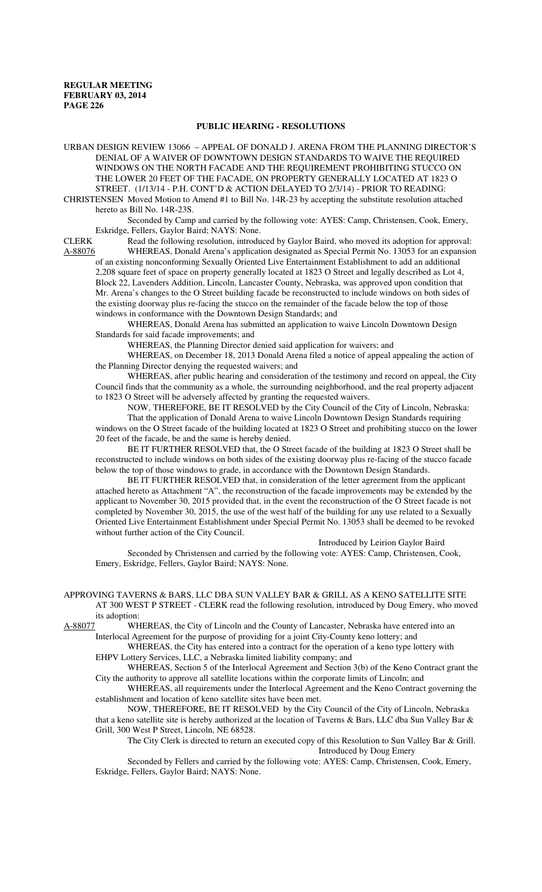## **PUBLIC HEARING - RESOLUTIONS**

URBAN DESIGN REVIEW 13066 – APPEAL OF DONALD J. ARENA FROM THE PLANNING DIRECTOR'S DENIAL OF A WAIVER OF DOWNTOWN DESIGN STANDARDS TO WAIVE THE REQUIRED WINDOWS ON THE NORTH FACADE AND THE REQUIREMENT PROHIBITING STUCCO ON THE LOWER 20 FEET OF THE FACADE, ON PROPERTY GENERALLY LOCATED AT 1823 O STREET. (1/13/14 - P.H. CONT'D & ACTION DELAYED TO 2/3/14) - PRIOR TO READING:

CHRISTENSEN Moved Motion to Amend #1 to Bill No. 14R-23 by accepting the substitute resolution attached hereto as Bill No. 14R-23S.

Seconded by Camp and carried by the following vote: AYES: Camp, Christensen, Cook, Emery, Eskridge, Fellers, Gaylor Baird; NAYS: None.

CLERK Read the following resolution, introduced by Gaylor Baird, who moved its adoption for approval: A-88076 WHEREAS, Donald Arena's application designated as Special Permit No. 13053 for an expansion of an existing nonconforming Sexually Oriented Live Entertainment Establishment to add an additional 2,208 square feet of space on property generally located at 1823 O Street and legally described as Lot 4, Block 22, Lavenders Addition, Lincoln, Lancaster County, Nebraska, was approved upon condition that Mr. Arena's changes to the O Street building facade be reconstructed to include windows on both sides of the existing doorway plus re-facing the stucco on the remainder of the facade below the top of those windows in conformance with the Downtown Design Standards; and

WHEREAS, Donald Arena has submitted an application to waive Lincoln Downtown Design Standards for said facade improvements; and

WHEREAS, the Planning Director denied said application for waivers; and

WHEREAS, on December 18, 2013 Donald Arena filed a notice of appeal appealing the action of the Planning Director denying the requested waivers; and

WHEREAS, after public hearing and consideration of the testimony and record on appeal, the City Council finds that the community as a whole, the surrounding neighborhood, and the real property adjacent to 1823 O Street will be adversely affected by granting the requested waivers.

NOW, THEREFORE, BE IT RESOLVED by the City Council of the City of Lincoln, Nebraska:

That the application of Donald Arena to waive Lincoln Downtown Design Standards requiring windows on the O Street facade of the building located at 1823 O Street and prohibiting stucco on the lower 20 feet of the facade, be and the same is hereby denied.

BE IT FURTHER RESOLVED that, the O Street facade of the building at 1823 O Street shall be reconstructed to include windows on both sides of the existing doorway plus re-facing of the stucco facade below the top of those windows to grade, in accordance with the Downtown Design Standards.

 BE IT FURTHER RESOLVED that, in consideration of the letter agreement from the applicant attached hereto as Attachment "A", the reconstruction of the facade improvements may be extended by the applicant to November 30, 2015 provided that, in the event the reconstruction of the O Street facade is not completed by November 30, 2015, the use of the west half of the building for any use related to a Sexually Oriented Live Entertainment Establishment under Special Permit No. 13053 shall be deemed to be revoked without further action of the City Council.

Introduced by Leirion Gaylor Baird

Seconded by Christensen and carried by the following vote: AYES: Camp, Christensen, Cook, Emery, Eskridge, Fellers, Gaylor Baird; NAYS: None.

APPROVING TAVERNS & BARS, LLC DBA SUN VALLEY BAR & GRILL AS A KENO SATELLITE SITE AT 300 WEST P STREET - CLERK read the following resolution, introduced by Doug Emery, who moved its adoption:

A-88077 WHEREAS, the City of Lincoln and the County of Lancaster, Nebraska have entered into an Interlocal Agreement for the purpose of providing for a joint City-County keno lottery; and

WHEREAS, the City has entered into a contract for the operation of a keno type lottery with EHPV Lottery Services, LLC, a Nebraska limited liability company; and

WHEREAS, Section 5 of the Interlocal Agreement and Section 3(b) of the Keno Contract grant the City the authority to approve all satellite locations within the corporate limits of Lincoln; and

WHEREAS, all requirements under the Interlocal Agreement and the Keno Contract governing the establishment and location of keno satellite sites have been met.

NOW, THEREFORE, BE IT RESOLVED by the City Council of the City of Lincoln, Nebraska that a keno satellite site is hereby authorized at the location of Taverns & Bars, LLC dba Sun Valley Bar & Grill, 300 West P Street, Lincoln, NE 68528.

The City Clerk is directed to return an executed copy of this Resolution to Sun Valley Bar & Grill. Introduced by Doug Emery

Seconded by Fellers and carried by the following vote: AYES: Camp, Christensen, Cook, Emery, Eskridge, Fellers, Gaylor Baird; NAYS: None.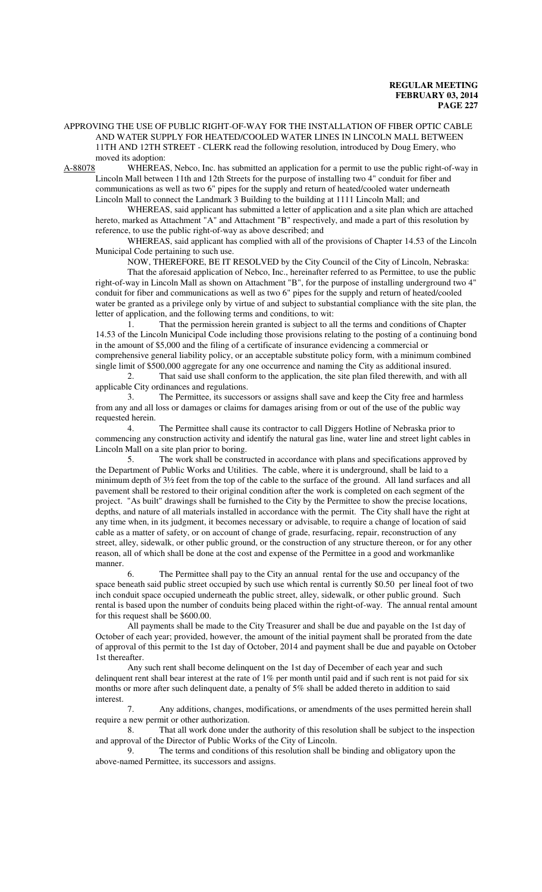APPROVING THE USE OF PUBLIC RIGHT-OF-WAY FOR THE INSTALLATION OF FIBER OPTIC CABLE AND WATER SUPPLY FOR HEATED/COOLED WATER LINES IN LINCOLN MALL BETWEEN 11TH AND 12TH STREET - CLERK read the following resolution, introduced by Doug Emery, who moved its adoption:

A-88078 WHEREAS, Nebco, Inc. has submitted an application for a permit to use the public right-of-way in Lincoln Mall between 11th and 12th Streets for the purpose of installing two 4" conduit for fiber and communications as well as two 6" pipes for the supply and return of heated/cooled water underneath Lincoln Mall to connect the Landmark 3 Building to the building at 1111 Lincoln Mall; and

WHEREAS, said applicant has submitted a letter of application and a site plan which are attached hereto, marked as Attachment "A" and Attachment "B" respectively, and made a part of this resolution by reference, to use the public right-of-way as above described; and

WHEREAS, said applicant has complied with all of the provisions of Chapter 14.53 of the Lincoln Municipal Code pertaining to such use.

NOW, THEREFORE, BE IT RESOLVED by the City Council of the City of Lincoln, Nebraska: That the aforesaid application of Nebco, Inc., hereinafter referred to as Permittee, to use the public right-of-way in Lincoln Mall as shown on Attachment "B", for the purpose of installing underground two 4" conduit for fiber and communications as well as two 6" pipes for the supply and return of heated/cooled water be granted as a privilege only by virtue of and subject to substantial compliance with the site plan, the letter of application, and the following terms and conditions, to wit:

1. That the permission herein granted is subject to all the terms and conditions of Chapter 14.53 of the Lincoln Municipal Code including those provisions relating to the posting of a continuing bond in the amount of \$5,000 and the filing of a certificate of insurance evidencing a commercial or comprehensive general liability policy, or an acceptable substitute policy form, with a minimum combined single limit of \$500,000 aggregate for any one occurrence and naming the City as additional insured.

2. That said use shall conform to the application, the site plan filed therewith, and with all applicable City ordinances and regulations.

3. The Permittee, its successors or assigns shall save and keep the City free and harmless from any and all loss or damages or claims for damages arising from or out of the use of the public way requested herein.

4. The Permittee shall cause its contractor to call Diggers Hotline of Nebraska prior to commencing any construction activity and identify the natural gas line, water line and street light cables in Lincoln Mall on a site plan prior to boring.

5. The work shall be constructed in accordance with plans and specifications approved by the Department of Public Works and Utilities. The cable, where it is underground, shall be laid to a minimum depth of 3½ feet from the top of the cable to the surface of the ground. All land surfaces and all pavement shall be restored to their original condition after the work is completed on each segment of the project. "As built" drawings shall be furnished to the City by the Permittee to show the precise locations, depths, and nature of all materials installed in accordance with the permit. The City shall have the right at any time when, in its judgment, it becomes necessary or advisable, to require a change of location of said cable as a matter of safety, or on account of change of grade, resurfacing, repair, reconstruction of any street, alley, sidewalk, or other public ground, or the construction of any structure thereon, or for any other reason, all of which shall be done at the cost and expense of the Permittee in a good and workmanlike manner.

6. The Permittee shall pay to the City an annual rental for the use and occupancy of the space beneath said public street occupied by such use which rental is currently \$0.50 per lineal foot of two inch conduit space occupied underneath the public street, alley, sidewalk, or other public ground. Such rental is based upon the number of conduits being placed within the right-of-way. The annual rental amount for this request shall be \$600.00.

All payments shall be made to the City Treasurer and shall be due and payable on the 1st day of October of each year; provided, however, the amount of the initial payment shall be prorated from the date of approval of this permit to the 1st day of October, 2014 and payment shall be due and payable on October 1st thereafter.

Any such rent shall become delinquent on the 1st day of December of each year and such delinquent rent shall bear interest at the rate of 1% per month until paid and if such rent is not paid for six months or more after such delinquent date, a penalty of 5% shall be added thereto in addition to said interest.

7. Any additions, changes, modifications, or amendments of the uses permitted herein shall require a new permit or other authorization.

8. That all work done under the authority of this resolution shall be subject to the inspection and approval of the Director of Public Works of the City of Lincoln.

9. The terms and conditions of this resolution shall be binding and obligatory upon the above-named Permittee, its successors and assigns.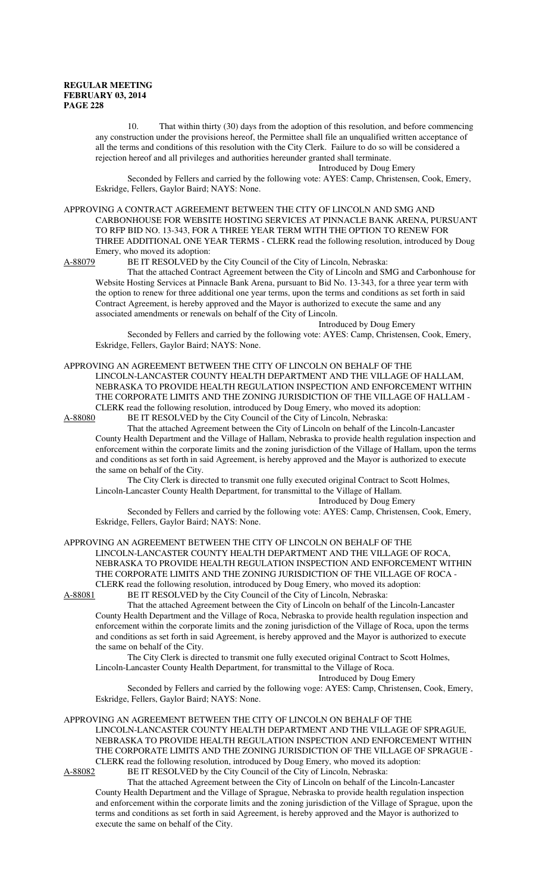10. That within thirty (30) days from the adoption of this resolution, and before commencing any construction under the provisions hereof, the Permittee shall file an unqualified written acceptance of all the terms and conditions of this resolution with the City Clerk. Failure to do so will be considered a rejection hereof and all privileges and authorities hereunder granted shall terminate.

Introduced by Doug Emery

Seconded by Fellers and carried by the following vote: AYES: Camp, Christensen, Cook, Emery, Eskridge, Fellers, Gaylor Baird; NAYS: None.

APPROVING A CONTRACT AGREEMENT BETWEEN THE CITY OF LINCOLN AND SMG AND CARBONHOUSE FOR WEBSITE HOSTING SERVICES AT PINNACLE BANK ARENA, PURSUANT TO RFP BID NO. 13-343, FOR A THREE YEAR TERM WITH THE OPTION TO RENEW FOR THREE ADDITIONAL ONE YEAR TERMS - CLERK read the following resolution, introduced by Doug Emery, who moved its adoption:

A-88079 BE IT RESOLVED by the City Council of the City of Lincoln, Nebraska:

That the attached Contract Agreement between the City of Lincoln and SMG and Carbonhouse for Website Hosting Services at Pinnacle Bank Arena, pursuant to Bid No. 13-343, for a three year term with the option to renew for three additional one year terms, upon the terms and conditions as set forth in said Contract Agreement, is hereby approved and the Mayor is authorized to execute the same and any associated amendments or renewals on behalf of the City of Lincoln.

Introduced by Doug Emery

Seconded by Fellers and carried by the following vote: AYES: Camp, Christensen, Cook, Emery, Eskridge, Fellers, Gaylor Baird; NAYS: None.

APPROVING AN AGREEMENT BETWEEN THE CITY OF LINCOLN ON BEHALF OF THE LINCOLN-LANCASTER COUNTY HEALTH DEPARTMENT AND THE VILLAGE OF HALLAM, NEBRASKA TO PROVIDE HEALTH REGULATION INSPECTION AND ENFORCEMENT WITHIN THE CORPORATE LIMITS AND THE ZONING JURISDICTION OF THE VILLAGE OF HALLAM - CLERK read the following resolution, introduced by Doug Emery, who moved its adoption:<br>A-88080 BE IT RESOLVED by the City Council of the City of Lincoln, Nebraska: BE IT RESOLVED by the City Council of the City of Lincoln, Nebraska:

That the attached Agreement between the City of Lincoln on behalf of the Lincoln-Lancaster County Health Department and the Village of Hallam, Nebraska to provide health regulation inspection and enforcement within the corporate limits and the zoning jurisdiction of the Village of Hallam, upon the terms and conditions as set forth in said Agreement, is hereby approved and the Mayor is authorized to execute the same on behalf of the City.

The City Clerk is directed to transmit one fully executed original Contract to Scott Holmes, Lincoln-Lancaster County Health Department, for transmittal to the Village of Hallam.

Introduced by Doug Emery

Seconded by Fellers and carried by the following vote: AYES: Camp, Christensen, Cook, Emery, Eskridge, Fellers, Gaylor Baird; NAYS: None.

## APPROVING AN AGREEMENT BETWEEN THE CITY OF LINCOLN ON BEHALF OF THE LINCOLN-LANCASTER COUNTY HEALTH DEPARTMENT AND THE VILLAGE OF ROCA, NEBRASKA TO PROVIDE HEALTH REGULATION INSPECTION AND ENFORCEMENT WITHIN THE CORPORATE LIMITS AND THE ZONING JURISDICTION OF THE VILLAGE OF ROCA - CLERK read the following resolution, introduced by Doug Emery, who moved its adoption:

A-88081 BE IT RESOLVED by the City Council of the City of Lincoln, Nebraska:

That the attached Agreement between the City of Lincoln on behalf of the Lincoln-Lancaster County Health Department and the Village of Roca, Nebraska to provide health regulation inspection and enforcement within the corporate limits and the zoning jurisdiction of the Village of Roca, upon the terms and conditions as set forth in said Agreement, is hereby approved and the Mayor is authorized to execute the same on behalf of the City.

The City Clerk is directed to transmit one fully executed original Contract to Scott Holmes, Lincoln-Lancaster County Health Department, for transmittal to the Village of Roca.

Introduced by Doug Emery

Seconded by Fellers and carried by the following voge: AYES: Camp, Christensen, Cook, Emery, Eskridge, Fellers, Gaylor Baird; NAYS: None.

APPROVING AN AGREEMENT BETWEEN THE CITY OF LINCOLN ON BEHALF OF THE LINCOLN-LANCASTER COUNTY HEALTH DEPARTMENT AND THE VILLAGE OF SPRAGUE, NEBRASKA TO PROVIDE HEALTH REGULATION INSPECTION AND ENFORCEMENT WITHIN THE CORPORATE LIMITS AND THE ZONING JURISDICTION OF THE VILLAGE OF SPRAGUE - CLERK read the following resolution, introduced by Doug Emery, who moved its adoption:

A-88082 BE IT RESOLVED by the City Council of the City of Lincoln, Nebraska:

That the attached Agreement between the City of Lincoln on behalf of the Lincoln-Lancaster County Health Department and the Village of Sprague, Nebraska to provide health regulation inspection and enforcement within the corporate limits and the zoning jurisdiction of the Village of Sprague, upon the terms and conditions as set forth in said Agreement, is hereby approved and the Mayor is authorized to execute the same on behalf of the City.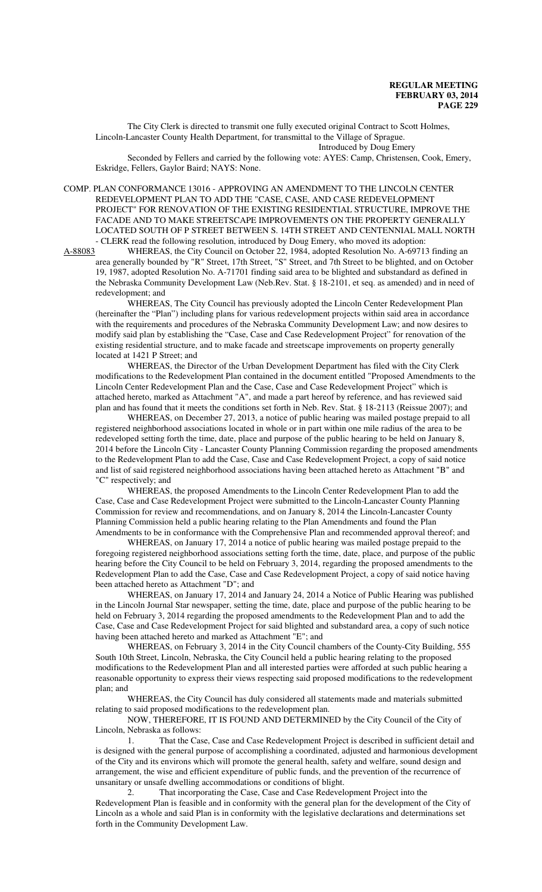The City Clerk is directed to transmit one fully executed original Contract to Scott Holmes, Lincoln-Lancaster County Health Department, for transmittal to the Village of Sprague.

Introduced by Doug Emery

Seconded by Fellers and carried by the following vote: AYES: Camp, Christensen, Cook, Emery, Eskridge, Fellers, Gaylor Baird; NAYS: None.

COMP. PLAN CONFORMANCE 13016 - APPROVING AN AMENDMENT TO THE LINCOLN CENTER REDEVELOPMENT PLAN TO ADD THE "CASE, CASE, AND CASE REDEVELOPMENT PROJECT" FOR RENOVATION OF THE EXISTING RESIDENTIAL STRUCTURE, IMPROVE THE FACADE AND TO MAKE STREETSCAPE IMPROVEMENTS ON THE PROPERTY GENERALLY LOCATED SOUTH OF P STREET BETWEEN S. 14TH STREET AND CENTENNIAL MALL NORTH - CLERK read the following resolution, introduced by Doug Emery, who moved its adoption:<br>A-88083 WHEREAS, the City Council on October 22, 1984, adopted Resolution No. A-69713

WHEREAS, the City Council on October 22, 1984, adopted Resolution No. A-69713 finding an area generally bounded by "R" Street, 17th Street, "S" Street, and 7th Street to be blighted, and on October 19, 1987, adopted Resolution No. A-71701 finding said area to be blighted and substandard as defined in the Nebraska Community Development Law (Neb.Rev. Stat. § 18-2101, et seq. as amended) and in need of redevelopment; and

WHEREAS, The City Council has previously adopted the Lincoln Center Redevelopment Plan (hereinafter the "Plan") including plans for various redevelopment projects within said area in accordance with the requirements and procedures of the Nebraska Community Development Law; and now desires to modify said plan by establishing the "Case, Case and Case Redevelopment Project" for renovation of the existing residential structure, and to make facade and streetscape improvements on property generally located at 1421 P Street; and

WHEREAS, the Director of the Urban Development Department has filed with the City Clerk modifications to the Redevelopment Plan contained in the document entitled "Proposed Amendments to the Lincoln Center Redevelopment Plan and the Case, Case and Case Redevelopment Project" which is attached hereto, marked as Attachment "A", and made a part hereof by reference, and has reviewed said plan and has found that it meets the conditions set forth in Neb. Rev. Stat. § 18-2113 (Reissue 2007); and

WHEREAS, on December 27, 2013, a notice of public hearing was mailed postage prepaid to all registered neighborhood associations located in whole or in part within one mile radius of the area to be redeveloped setting forth the time, date, place and purpose of the public hearing to be held on January 8, 2014 before the Lincoln City - Lancaster County Planning Commission regarding the proposed amendments to the Redevelopment Plan to add the Case, Case and Case Redevelopment Project, a copy of said notice and list of said registered neighborhood associations having been attached hereto as Attachment "B" and "C" respectively; and

WHEREAS, the proposed Amendments to the Lincoln Center Redevelopment Plan to add the Case, Case and Case Redevelopment Project were submitted to the Lincoln-Lancaster County Planning Commission for review and recommendations, and on January 8, 2014 the Lincoln-Lancaster County Planning Commission held a public hearing relating to the Plan Amendments and found the Plan Amendments to be in conformance with the Comprehensive Plan and recommended approval thereof; and

WHEREAS, on January 17, 2014 a notice of public hearing was mailed postage prepaid to the foregoing registered neighborhood associations setting forth the time, date, place, and purpose of the public hearing before the City Council to be held on February 3, 2014, regarding the proposed amendments to the Redevelopment Plan to add the Case, Case and Case Redevelopment Project, a copy of said notice having been attached hereto as Attachment "D"; and

WHEREAS, on January 17, 2014 and January 24, 2014 a Notice of Public Hearing was published in the Lincoln Journal Star newspaper, setting the time, date, place and purpose of the public hearing to be held on February 3, 2014 regarding the proposed amendments to the Redevelopment Plan and to add the Case, Case and Case Redevelopment Project for said blighted and substandard area, a copy of such notice having been attached hereto and marked as Attachment "E"; and

WHEREAS, on February 3, 2014 in the City Council chambers of the County-City Building, 555 South 10th Street, Lincoln, Nebraska, the City Council held a public hearing relating to the proposed modifications to the Redevelopment Plan and all interested parties were afforded at such public hearing a reasonable opportunity to express their views respecting said proposed modifications to the redevelopment plan; and

WHEREAS, the City Council has duly considered all statements made and materials submitted relating to said proposed modifications to the redevelopment plan.

NOW, THEREFORE, IT IS FOUND AND DETERMINED by the City Council of the City of Lincoln, Nebraska as follows:

1. That the Case, Case and Case Redevelopment Project is described in sufficient detail and is designed with the general purpose of accomplishing a coordinated, adjusted and harmonious development of the City and its environs which will promote the general health, safety and welfare, sound design and arrangement, the wise and efficient expenditure of public funds, and the prevention of the recurrence of unsanitary or unsafe dwelling accommodations or conditions of blight.

2. That incorporating the Case, Case and Case Redevelopment Project into the Redevelopment Plan is feasible and in conformity with the general plan for the development of the City of Lincoln as a whole and said Plan is in conformity with the legislative declarations and determinations set forth in the Community Development Law.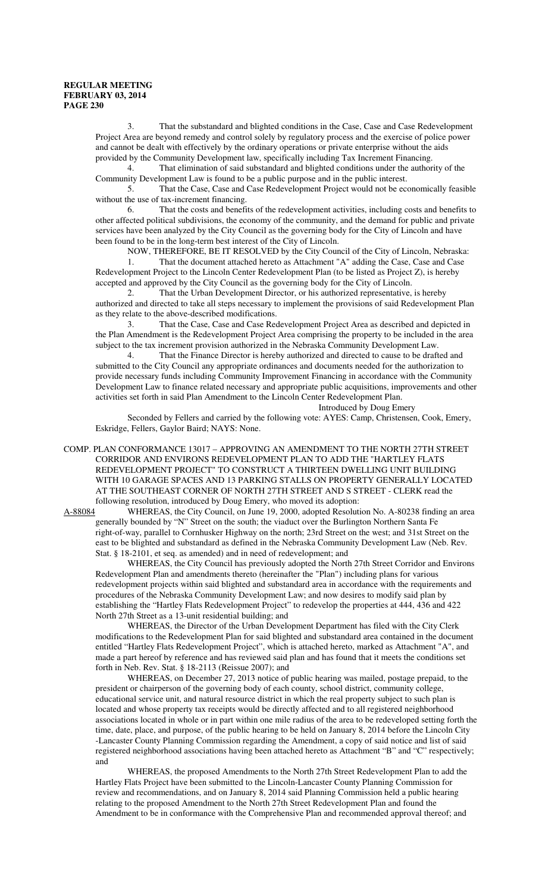3. That the substandard and blighted conditions in the Case, Case and Case Redevelopment Project Area are beyond remedy and control solely by regulatory process and the exercise of police power and cannot be dealt with effectively by the ordinary operations or private enterprise without the aids provided by the Community Development law, specifically including Tax Increment Financing.

4. That elimination of said substandard and blighted conditions under the authority of the Community Development Law is found to be a public purpose and in the public interest.<br>5. That the Case. Case and Case Redevelopment Project would not be ec

That the Case, Case and Case Redevelopment Project would not be economically feasible without the use of tax-increment financing.

6. That the costs and benefits of the redevelopment activities, including costs and benefits to other affected political subdivisions, the economy of the community, and the demand for public and private services have been analyzed by the City Council as the governing body for the City of Lincoln and have been found to be in the long-term best interest of the City of Lincoln.

NOW, THEREFORE, BE IT RESOLVED by the City Council of the City of Lincoln, Nebraska: 1. That the document attached hereto as Attachment "A" adding the Case, Case and Case Redevelopment Project to the Lincoln Center Redevelopment Plan (to be listed as Project Z), is hereby accepted and approved by the City Council as the governing body for the City of Lincoln.

2. That the Urban Development Director, or his authorized representative, is hereby authorized and directed to take all steps necessary to implement the provisions of said Redevelopment Plan as they relate to the above-described modifications.

3. That the Case, Case and Case Redevelopment Project Area as described and depicted in the Plan Amendment is the Redevelopment Project Area comprising the property to be included in the area subject to the tax increment provision authorized in the Nebraska Community Development Law.

4. That the Finance Director is hereby authorized and directed to cause to be drafted and submitted to the City Council any appropriate ordinances and documents needed for the authorization to provide necessary funds including Community Improvement Financing in accordance with the Community Development Law to finance related necessary and appropriate public acquisitions, improvements and other activities set forth in said Plan Amendment to the Lincoln Center Redevelopment Plan.

Introduced by Doug Emery

Seconded by Fellers and carried by the following vote: AYES: Camp, Christensen, Cook, Emery, Eskridge, Fellers, Gaylor Baird; NAYS: None.

COMP. PLAN CONFORMANCE 13017 – APPROVING AN AMENDMENT TO THE NORTH 27TH STREET CORRIDOR AND ENVIRONS REDEVELOPMENT PLAN TO ADD THE "HARTLEY FLATS REDEVELOPMENT PROJECT" TO CONSTRUCT A THIRTEEN DWELLING UNIT BUILDING WITH 10 GARAGE SPACES AND 13 PARKING STALLS ON PROPERTY GENERALLY LOCATED AT THE SOUTHEAST CORNER OF NORTH 27TH STREET AND S STREET - CLERK read the

following resolution, introduced by Doug Emery, who moved its adoption:<br>A-88084 WHEREAS, the City Council, on June 19, 2000, adopted Resolution WHEREAS, the City Council, on June 19, 2000, adopted Resolution No. A-80238 finding an area generally bounded by "N" Street on the south; the viaduct over the Burlington Northern Santa Fe right-of-way, parallel to Cornhusker Highway on the north; 23rd Street on the west; and 31st Street on the east to be blighted and substandard as defined in the Nebraska Community Development Law (Neb. Rev. Stat. § 18-2101, et seq. as amended) and in need of redevelopment; and

WHEREAS, the City Council has previously adopted the North 27th Street Corridor and Environs Redevelopment Plan and amendments thereto (hereinafter the "Plan") including plans for various redevelopment projects within said blighted and substandard area in accordance with the requirements and procedures of the Nebraska Community Development Law; and now desires to modify said plan by establishing the "Hartley Flats Redevelopment Project" to redevelop the properties at 444, 436 and 422 North 27th Street as a 13-unit residential building; and

WHEREAS, the Director of the Urban Development Department has filed with the City Clerk modifications to the Redevelopment Plan for said blighted and substandard area contained in the document entitled "Hartley Flats Redevelopment Project", which is attached hereto, marked as Attachment "A", and made a part hereof by reference and has reviewed said plan and has found that it meets the conditions set forth in Neb. Rev. Stat. § 18-2113 (Reissue 2007); and

WHEREAS, on December 27, 2013 notice of public hearing was mailed, postage prepaid, to the president or chairperson of the governing body of each county, school district, community college, educational service unit, and natural resource district in which the real property subject to such plan is located and whose property tax receipts would be directly affected and to all registered neighborhood associations located in whole or in part within one mile radius of the area to be redeveloped setting forth the time, date, place, and purpose, of the public hearing to be held on January 8, 2014 before the Lincoln City -Lancaster County Planning Commission regarding the Amendment, a copy of said notice and list of said registered neighborhood associations having been attached hereto as Attachment "B" and "C" respectively; and

WHEREAS, the proposed Amendments to the North 27th Street Redevelopment Plan to add the Hartley Flats Project have been submitted to the Lincoln-Lancaster County Planning Commission for review and recommendations, and on January 8, 2014 said Planning Commission held a public hearing relating to the proposed Amendment to the North 27th Street Redevelopment Plan and found the Amendment to be in conformance with the Comprehensive Plan and recommended approval thereof; and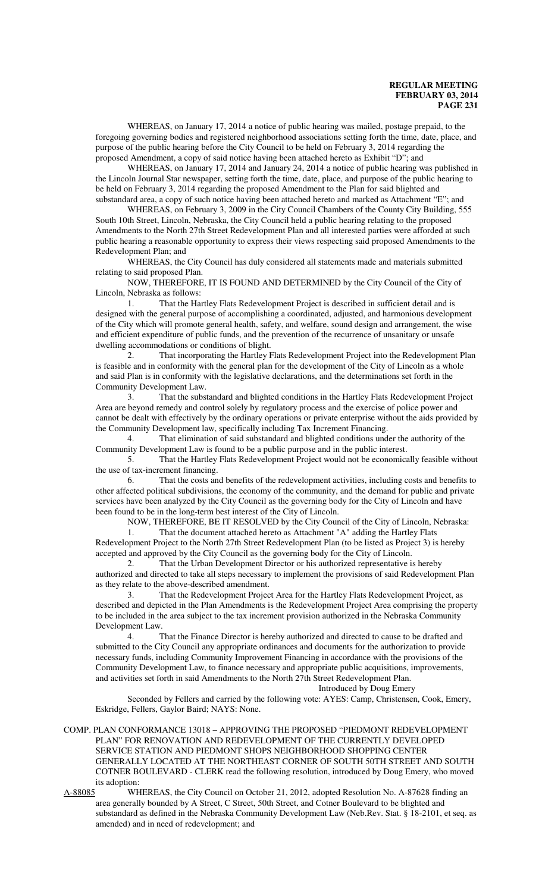WHEREAS, on January 17, 2014 a notice of public hearing was mailed, postage prepaid, to the foregoing governing bodies and registered neighborhood associations setting forth the time, date, place, and purpose of the public hearing before the City Council to be held on February 3, 2014 regarding the proposed Amendment, a copy of said notice having been attached hereto as Exhibit "D"; and

WHEREAS, on January 17, 2014 and January 24, 2014 a notice of public hearing was published in the Lincoln Journal Star newspaper, setting forth the time, date, place, and purpose of the public hearing to be held on February 3, 2014 regarding the proposed Amendment to the Plan for said blighted and substandard area, a copy of such notice having been attached hereto and marked as Attachment "E"; and

WHEREAS, on February 3, 2009 in the City Council Chambers of the County City Building, 555 South 10th Street, Lincoln, Nebraska, the City Council held a public hearing relating to the proposed Amendments to the North 27th Street Redevelopment Plan and all interested parties were afforded at such public hearing a reasonable opportunity to express their views respecting said proposed Amendments to the Redevelopment Plan; and

WHEREAS, the City Council has duly considered all statements made and materials submitted relating to said proposed Plan.

NOW, THEREFORE, IT IS FOUND AND DETERMINED by the City Council of the City of Lincoln, Nebraska as follows:

1. That the Hartley Flats Redevelopment Project is described in sufficient detail and is designed with the general purpose of accomplishing a coordinated, adjusted, and harmonious development of the City which will promote general health, safety, and welfare, sound design and arrangement, the wise and efficient expenditure of public funds, and the prevention of the recurrence of unsanitary or unsafe dwelling accommodations or conditions of blight.

2. That incorporating the Hartley Flats Redevelopment Project into the Redevelopment Plan is feasible and in conformity with the general plan for the development of the City of Lincoln as a whole and said Plan is in conformity with the legislative declarations, and the determinations set forth in the Community Development Law.

3. That the substandard and blighted conditions in the Hartley Flats Redevelopment Project Area are beyond remedy and control solely by regulatory process and the exercise of police power and cannot be dealt with effectively by the ordinary operations or private enterprise without the aids provided by the Community Development law, specifically including Tax Increment Financing.

4. That elimination of said substandard and blighted conditions under the authority of the Community Development Law is found to be a public purpose and in the public interest.

5. That the Hartley Flats Redevelopment Project would not be economically feasible without the use of tax-increment financing.

6. That the costs and benefits of the redevelopment activities, including costs and benefits to other affected political subdivisions, the economy of the community, and the demand for public and private services have been analyzed by the City Council as the governing body for the City of Lincoln and have been found to be in the long-term best interest of the City of Lincoln.

NOW, THEREFORE, BE IT RESOLVED by the City Council of the City of Lincoln, Nebraska:

1. That the document attached hereto as Attachment "A" adding the Hartley Flats Redevelopment Project to the North 27th Street Redevelopment Plan (to be listed as Project 3) is hereby accepted and approved by the City Council as the governing body for the City of Lincoln.

2. That the Urban Development Director or his authorized representative is hereby authorized and directed to take all steps necessary to implement the provisions of said Redevelopment Plan as they relate to the above-described amendment.

3. That the Redevelopment Project Area for the Hartley Flats Redevelopment Project, as described and depicted in the Plan Amendments is the Redevelopment Project Area comprising the property to be included in the area subject to the tax increment provision authorized in the Nebraska Community Development Law.

4. That the Finance Director is hereby authorized and directed to cause to be drafted and submitted to the City Council any appropriate ordinances and documents for the authorization to provide necessary funds, including Community Improvement Financing in accordance with the provisions of the Community Development Law, to finance necessary and appropriate public acquisitions, improvements, and activities set forth in said Amendments to the North 27th Street Redevelopment Plan.

Introduced by Doug Emery

Seconded by Fellers and carried by the following vote: AYES: Camp, Christensen, Cook, Emery, Eskridge, Fellers, Gaylor Baird; NAYS: None.

COMP. PLAN CONFORMANCE 13018 – APPROVING THE PROPOSED "PIEDMONT REDEVELOPMENT PLAN" FOR RENOVATION AND REDEVELOPMENT OF THE CURRENTLY DEVELOPED SERVICE STATION AND PIEDMONT SHOPS NEIGHBORHOOD SHOPPING CENTER GENERALLY LOCATED AT THE NORTHEAST CORNER OF SOUTH 50TH STREET AND SOUTH COTNER BOULEVARD - CLERK read the following resolution, introduced by Doug Emery, who moved its adoption:

A-88085 WHEREAS, the City Council on October 21, 2012, adopted Resolution No. A-87628 finding an area generally bounded by A Street, C Street, 50th Street, and Cotner Boulevard to be blighted and substandard as defined in the Nebraska Community Development Law (Neb.Rev. Stat. § 18-2101, et seq. as amended) and in need of redevelopment; and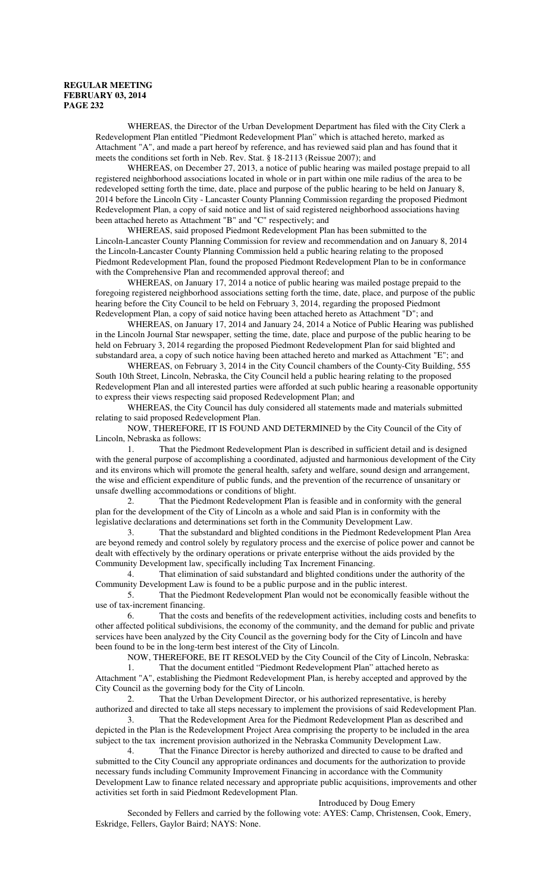WHEREAS, the Director of the Urban Development Department has filed with the City Clerk a Redevelopment Plan entitled "Piedmont Redevelopment Plan" which is attached hereto, marked as Attachment "A", and made a part hereof by reference, and has reviewed said plan and has found that it meets the conditions set forth in Neb. Rev. Stat. § 18-2113 (Reissue 2007); and

WHEREAS, on December 27, 2013, a notice of public hearing was mailed postage prepaid to all registered neighborhood associations located in whole or in part within one mile radius of the area to be redeveloped setting forth the time, date, place and purpose of the public hearing to be held on January 8, 2014 before the Lincoln City - Lancaster County Planning Commission regarding the proposed Piedmont Redevelopment Plan, a copy of said notice and list of said registered neighborhood associations having been attached hereto as Attachment "B" and "C" respectively; and

WHEREAS, said proposed Piedmont Redevelopment Plan has been submitted to the Lincoln-Lancaster County Planning Commission for review and recommendation and on January 8, 2014 the Lincoln-Lancaster County Planning Commission held a public hearing relating to the proposed Piedmont Redevelopment Plan, found the proposed Piedmont Redevelopment Plan to be in conformance with the Comprehensive Plan and recommended approval thereof; and

WHEREAS, on January 17, 2014 a notice of public hearing was mailed postage prepaid to the foregoing registered neighborhood associations setting forth the time, date, place, and purpose of the public hearing before the City Council to be held on February 3, 2014, regarding the proposed Piedmont Redevelopment Plan, a copy of said notice having been attached hereto as Attachment "D"; and

WHEREAS, on January 17, 2014 and January 24, 2014 a Notice of Public Hearing was published in the Lincoln Journal Star newspaper, setting the time, date, place and purpose of the public hearing to be held on February 3, 2014 regarding the proposed Piedmont Redevelopment Plan for said blighted and substandard area, a copy of such notice having been attached hereto and marked as Attachment "E"; and

WHEREAS, on February 3, 2014 in the City Council chambers of the County-City Building, 555 South 10th Street, Lincoln, Nebraska, the City Council held a public hearing relating to the proposed Redevelopment Plan and all interested parties were afforded at such public hearing a reasonable opportunity to express their views respecting said proposed Redevelopment Plan; and

WHEREAS, the City Council has duly considered all statements made and materials submitted relating to said proposed Redevelopment Plan.

NOW, THEREFORE, IT IS FOUND AND DETERMINED by the City Council of the City of Lincoln, Nebraska as follows:

1. That the Piedmont Redevelopment Plan is described in sufficient detail and is designed with the general purpose of accomplishing a coordinated, adjusted and harmonious development of the City and its environs which will promote the general health, safety and welfare, sound design and arrangement, the wise and efficient expenditure of public funds, and the prevention of the recurrence of unsanitary or unsafe dwelling accommodations or conditions of blight.

2. That the Piedmont Redevelopment Plan is feasible and in conformity with the general plan for the development of the City of Lincoln as a whole and said Plan is in conformity with the legislative declarations and determinations set forth in the Community Development Law.

3. That the substandard and blighted conditions in the Piedmont Redevelopment Plan Area are beyond remedy and control solely by regulatory process and the exercise of police power and cannot be dealt with effectively by the ordinary operations or private enterprise without the aids provided by the Community Development law, specifically including Tax Increment Financing.

4. That elimination of said substandard and blighted conditions under the authority of the Community Development Law is found to be a public purpose and in the public interest.

5. That the Piedmont Redevelopment Plan would not be economically feasible without the use of tax-increment financing.

6. That the costs and benefits of the redevelopment activities, including costs and benefits to other affected political subdivisions, the economy of the community, and the demand for public and private services have been analyzed by the City Council as the governing body for the City of Lincoln and have been found to be in the long-term best interest of the City of Lincoln.

NOW, THEREFORE, BE IT RESOLVED by the City Council of the City of Lincoln, Nebraska:

1. That the document entitled "Piedmont Redevelopment Plan" attached hereto as Attachment "A", establishing the Piedmont Redevelopment Plan, is hereby accepted and approved by the City Council as the governing body for the City of Lincoln.

2. That the Urban Development Director, or his authorized representative, is hereby authorized and directed to take all steps necessary to implement the provisions of said Redevelopment Plan.

3. That the Redevelopment Area for the Piedmont Redevelopment Plan as described and depicted in the Plan is the Redevelopment Project Area comprising the property to be included in the area subject to the tax increment provision authorized in the Nebraska Community Development Law.

4. That the Finance Director is hereby authorized and directed to cause to be drafted and submitted to the City Council any appropriate ordinances and documents for the authorization to provide necessary funds including Community Improvement Financing in accordance with the Community Development Law to finance related necessary and appropriate public acquisitions, improvements and other activities set forth in said Piedmont Redevelopment Plan.

Introduced by Doug Emery

Seconded by Fellers and carried by the following vote: AYES: Camp, Christensen, Cook, Emery, Eskridge, Fellers, Gaylor Baird; NAYS: None.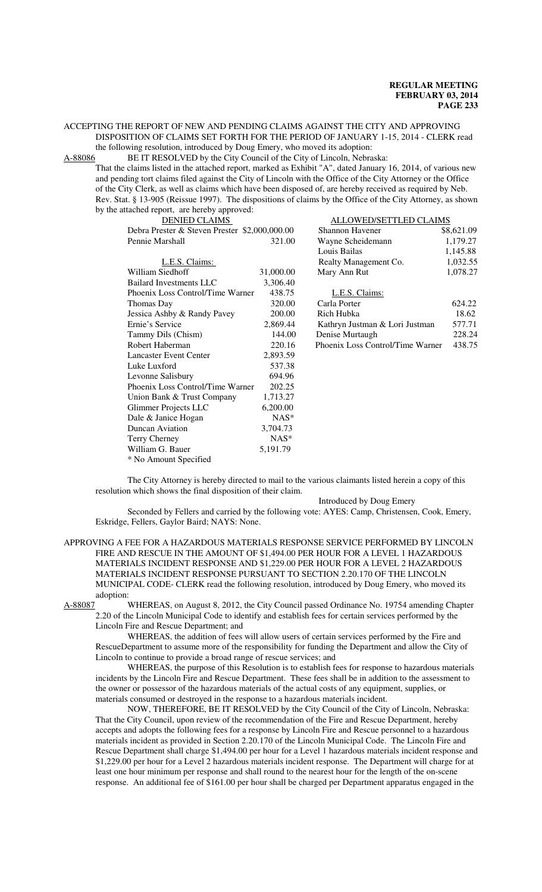## ACCEPTING THE REPORT OF NEW AND PENDING CLAIMS AGAINST THE CITY AND APPROVING DISPOSITION OF CLAIMS SET FORTH FOR THE PERIOD OF JANUARY 1-15, 2014 - CLERK read the following resolution, introduced by Doug Emery, who moved its adoption:

A-88086 BE IT RESOLVED by the City Council of the City of Lincoln, Nebraska:

That the claims listed in the attached report, marked as Exhibit "A", dated January 16, 2014, of various new and pending tort claims filed against the City of Lincoln with the Office of the City Attorney or the Office of the City Clerk, as well as claims which have been disposed of, are hereby received as required by Neb. Rev. Stat. § 13-905 (Reissue 1997). The dispositions of claims by the Office of the City Attorney, as shown by the attached report, are hereby approved:

| DENIED CLAIMS                                 |           | ALLOWED/SETTLED CLAIMS           |            |
|-----------------------------------------------|-----------|----------------------------------|------------|
| Debra Prester & Steven Prester \$2,000,000.00 |           | <b>Shannon Havener</b>           | \$8,621.09 |
| Pennie Marshall                               | 321.00    | Wayne Scheidemann                | 1,179.27   |
|                                               |           | Louis Bailas                     | 1,145.88   |
| L.E.S. Claims:                                |           | Realty Management Co.            | 1,032.55   |
| William Siedhoff                              | 31,000.00 | Mary Ann Rut                     | 1,078.27   |
| <b>Bailard Investments LLC</b>                | 3,306.40  |                                  |            |
| Phoenix Loss Control/Time Warner              | 438.75    | L.E.S. Claims:                   |            |
| Thomas Day                                    | 320.00    | Carla Porter                     | 624.22     |
| Jessica Ashby & Randy Pavey                   | 200.00    | Rich Hubka                       | 18.62      |
| Ernie's Service                               | 2,869.44  | Kathryn Justman & Lori Justman   | 577.71     |
| Tammy Dils (Chism)                            | 144.00    | Denise Murtaugh                  | 228.24     |
| Robert Haberman                               | 220.16    | Phoenix Loss Control/Time Warner | 438.75     |
| <b>Lancaster Event Center</b>                 | 2,893.59  |                                  |            |
| Luke Luxford                                  | 537.38    |                                  |            |
| Levonne Salisbury                             | 694.96    |                                  |            |
| Phoenix Loss Control/Time Warner              | 202.25    |                                  |            |
| Union Bank & Trust Company                    | 1,713.27  |                                  |            |
| Glimmer Projects LLC                          | 6,200.00  |                                  |            |
| Dale & Janice Hogan                           | $NAS^*$   |                                  |            |
| Duncan Aviation                               | 3,704.73  |                                  |            |
| Terry Cherney                                 | $NAS^*$   |                                  |            |
| William G. Bauer                              | 5,191.79  |                                  |            |
| * No Amount Specified                         |           |                                  |            |

The City Attorney is hereby directed to mail to the various claimants listed herein a copy of this resolution which shows the final disposition of their claim.

Introduced by Doug Emery

Seconded by Fellers and carried by the following vote: AYES: Camp, Christensen, Cook, Emery, Eskridge, Fellers, Gaylor Baird; NAYS: None.

APPROVING A FEE FOR A HAZARDOUS MATERIALS RESPONSE SERVICE PERFORMED BY LINCOLN FIRE AND RESCUE IN THE AMOUNT OF \$1,494.00 PER HOUR FOR A LEVEL 1 HAZARDOUS MATERIALS INCIDENT RESPONSE AND \$1,229.00 PER HOUR FOR A LEVEL 2 HAZARDOUS MATERIALS INCIDENT RESPONSE PURSUANT TO SECTION 2.20.170 OF THE LINCOLN MUNICIPAL CODE- CLERK read the following resolution, introduced by Doug Emery, who moved its adoption:<br>A-88087

WHEREAS, on August 8, 2012, the City Council passed Ordinance No. 19754 amending Chapter 2.20 of the Lincoln Municipal Code to identify and establish fees for certain services performed by the Lincoln Fire and Rescue Department; and

WHEREAS, the addition of fees will allow users of certain services performed by the Fire and RescueDepartment to assume more of the responsibility for funding the Department and allow the City of Lincoln to continue to provide a broad range of rescue services; and

WHEREAS, the purpose of this Resolution is to establish fees for response to hazardous materials incidents by the Lincoln Fire and Rescue Department. These fees shall be in addition to the assessment to the owner or possessor of the hazardous materials of the actual costs of any equipment, supplies, or materials consumed or destroyed in the response to a hazardous materials incident.

NOW, THEREFORE, BE IT RESOLVED by the City Council of the City of Lincoln, Nebraska: That the City Council, upon review of the recommendation of the Fire and Rescue Department, hereby accepts and adopts the following fees for a response by Lincoln Fire and Rescue personnel to a hazardous materials incident as provided in Section 2.20.170 of the Lincoln Municipal Code. The Lincoln Fire and Rescue Department shall charge \$1,494.00 per hour for a Level 1 hazardous materials incident response and \$1,229.00 per hour for a Level 2 hazardous materials incident response. The Department will charge for at least one hour minimum per response and shall round to the nearest hour for the length of the on-scene response. An additional fee of \$161.00 per hour shall be charged per Department apparatus engaged in the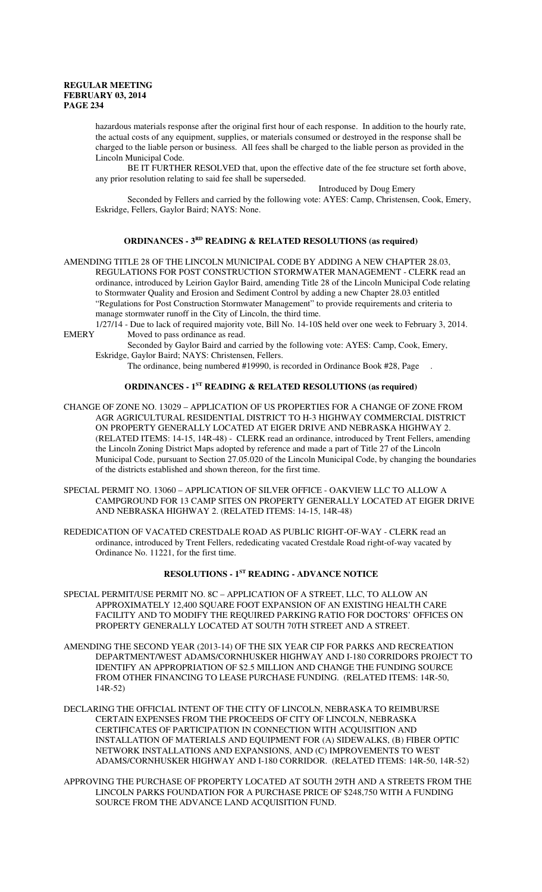hazardous materials response after the original first hour of each response. In addition to the hourly rate, the actual costs of any equipment, supplies, or materials consumed or destroyed in the response shall be charged to the liable person or business. All fees shall be charged to the liable person as provided in the Lincoln Municipal Code.

BE IT FURTHER RESOLVED that, upon the effective date of the fee structure set forth above, any prior resolution relating to said fee shall be superseded.

Introduced by Doug Emery

Seconded by Fellers and carried by the following vote: AYES: Camp, Christensen, Cook, Emery, Eskridge, Fellers, Gaylor Baird; NAYS: None.

#### **ORDINANCES - 3RD READING & RELATED RESOLUTIONS (as required)**

AMENDING TITLE 28 OF THE LINCOLN MUNICIPAL CODE BY ADDING A NEW CHAPTER 28.03, REGULATIONS FOR POST CONSTRUCTION STORMWATER MANAGEMENT - CLERK read an ordinance, introduced by Leirion Gaylor Baird, amending Title 28 of the Lincoln Municipal Code relating to Stormwater Quality and Erosion and Sediment Control by adding a new Chapter 28.03 entitled "Regulations for Post Construction Stormwater Management" to provide requirements and criteria to manage stormwater runoff in the City of Lincoln, the third time.

1/27/14 - Due to lack of required majority vote, Bill No. 14-10S held over one week to February 3, 2014. EMERY Moved to pass ordinance as read.

Seconded by Gaylor Baird and carried by the following vote: AYES: Camp, Cook, Emery, Eskridge, Gaylor Baird; NAYS: Christensen, Fellers.

The ordinance, being numbered #19990, is recorded in Ordinance Book #28, Page .

## **ORDINANCES - 1ST READING & RELATED RESOLUTIONS (as required)**

- CHANGE OF ZONE NO. 13029 APPLICATION OF US PROPERTIES FOR A CHANGE OF ZONE FROM AGR AGRICULTURAL RESIDENTIAL DISTRICT TO H-3 HIGHWAY COMMERCIAL DISTRICT ON PROPERTY GENERALLY LOCATED AT EIGER DRIVE AND NEBRASKA HIGHWAY 2. (RELATED ITEMS: 14-15, 14R-48) - CLERK read an ordinance, introduced by Trent Fellers, amending the Lincoln Zoning District Maps adopted by reference and made a part of Title 27 of the Lincoln Municipal Code, pursuant to Section 27.05.020 of the Lincoln Municipal Code, by changing the boundaries of the districts established and shown thereon, for the first time.
- SPECIAL PERMIT NO. 13060 APPLICATION OF SILVER OFFICE OAKVIEW LLC TO ALLOW A CAMPGROUND FOR 13 CAMP SITES ON PROPERTY GENERALLY LOCATED AT EIGER DRIVE AND NEBRASKA HIGHWAY 2. (RELATED ITEMS: 14-15, 14R-48)
- REDEDICATION OF VACATED CRESTDALE ROAD AS PUBLIC RIGHT-OF-WAY CLERK read an ordinance, introduced by Trent Fellers, rededicating vacated Crestdale Road right-of-way vacated by Ordinance No. 11221, for the first time.

# **RESOLUTIONS - 1ST READING - ADVANCE NOTICE**

- SPECIAL PERMIT/USE PERMIT NO. 8C APPLICATION OF A STREET, LLC, TO ALLOW AN APPROXIMATELY 12,400 SQUARE FOOT EXPANSION OF AN EXISTING HEALTH CARE FACILITY AND TO MODIFY THE REQUIRED PARKING RATIO FOR DOCTORS' OFFICES ON PROPERTY GENERALLY LOCATED AT SOUTH 70TH STREET AND A STREET.
- AMENDING THE SECOND YEAR (2013-14) OF THE SIX YEAR CIP FOR PARKS AND RECREATION DEPARTMENT/WEST ADAMS/CORNHUSKER HIGHWAY AND I-180 CORRIDORS PROJECT TO IDENTIFY AN APPROPRIATION OF \$2.5 MILLION AND CHANGE THE FUNDING SOURCE FROM OTHER FINANCING TO LEASE PURCHASE FUNDING. (RELATED ITEMS: 14R-50, 14R-52)
- DECLARING THE OFFICIAL INTENT OF THE CITY OF LINCOLN, NEBRASKA TO REIMBURSE CERTAIN EXPENSES FROM THE PROCEEDS OF CITY OF LINCOLN, NEBRASKA CERTIFICATES OF PARTICIPATION IN CONNECTION WITH ACQUISITION AND INSTALLATION OF MATERIALS AND EQUIPMENT FOR (A) SIDEWALKS, (B) FIBER OPTIC NETWORK INSTALLATIONS AND EXPANSIONS, AND (C) IMPROVEMENTS TO WEST ADAMS/CORNHUSKER HIGHWAY AND I-180 CORRIDOR. (RELATED ITEMS: 14R-50, 14R-52)
- APPROVING THE PURCHASE OF PROPERTY LOCATED AT SOUTH 29TH AND A STREETS FROM THE LINCOLN PARKS FOUNDATION FOR A PURCHASE PRICE OF \$248,750 WITH A FUNDING SOURCE FROM THE ADVANCE LAND ACQUISITION FUND.